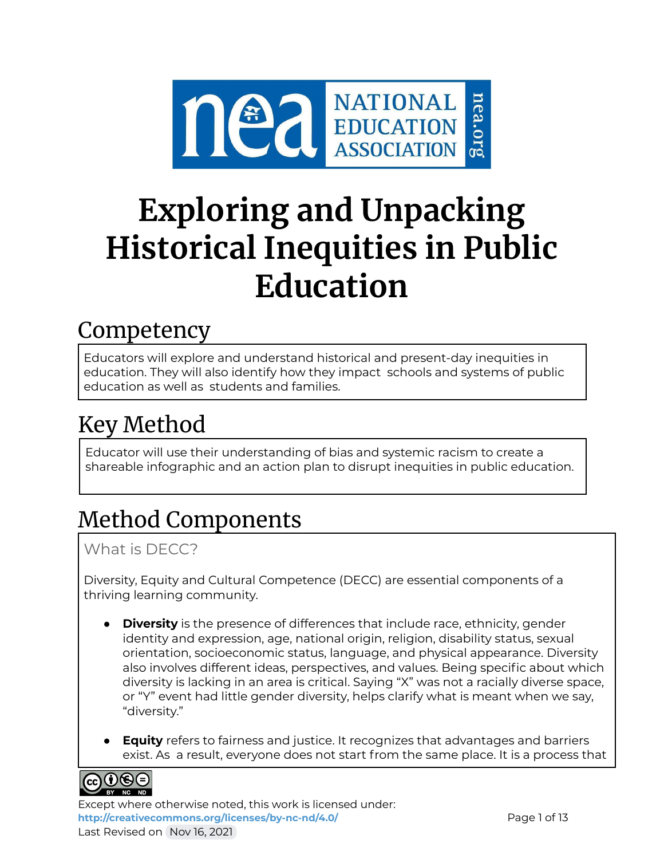

# **Exploring and Unpacking Historical Inequities in Public Education**

## **Competency**

Educators will explore and understand historical and present-day inequities in education. They will also identify how they impact schools and systems of public education as well as students and families.

## Key Method

Educator will use their understanding of bias and systemic racism to create a shareable infographic and an action plan to disrupt inequities in public education.

## Method Components

What is DECC?

Diversity, Equity and Cultural Competence (DECC) are essential components of a thriving learning community.

- **Diversity** is the presence of differences that include race, ethnicity, gender identity and expression, age, national origin, religion, disability status, sexual orientation, socioeconomic status, language, and physical appearance. Diversity also involves different ideas, perspectives, and values. Being specific about which diversity is lacking in an area is critical. Saying "X" was not a racially diverse space, or "Y" event had little gender diversity, helps clarify what is meant when we say, "diversity."
- **Equity** refers to fairness and justice. It recognizes that advantages and barriers exist. As a result, everyone does not start from the same place. It is a process that



Except where otherwise noted, this work is licensed under: <http://creativecommons.org/licenses/by-nc-nd/4.0/> **Page 1 of 13** Last Revised on Nov 16, 2021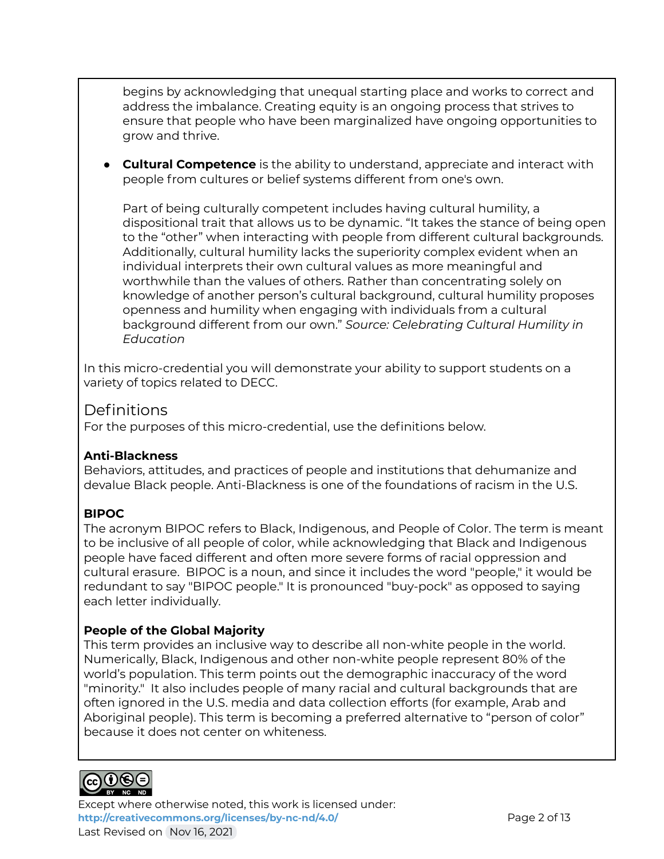begins by acknowledging that unequal starting place and works to correct and address the imbalance. Creating equity is an ongoing process that strives to ensure that people who have been marginalized have ongoing opportunities to grow and thrive.

● **Cultural Competence** is the ability to understand, appreciate and interact with people from cultures or belief systems different from one's own.

Part of being culturally competent includes having cultural humility, a dispositional trait that allows us to be dynamic. "It takes the stance of being open to the "other" when interacting with people from different cultural backgrounds. Additionally, cultural humility lacks the superiority complex evident when an individual interprets their own cultural values as more meaningful and worthwhile than the values of others. Rather than concentrating solely on knowledge of another person's cultural background, cultural humility proposes openness and humility when engaging with individuals from a cultural background different from our own." *Source: Celebrating Cultural Humility in Education*

In this micro-credential you will demonstrate your ability to support students on a variety of topics related to DECC.

## Definitions

For the purposes of this micro-credential, use the definitions below.

#### **Anti-Blackness**

Behaviors, attitudes, and practices of people and institutions that dehumanize and devalue Black people. Anti-Blackness is one of the foundations of racism in the U.S.

### **BIPOC**

The acronym BIPOC refers to Black, Indigenous, and People of Color. The term is meant to be inclusive of all people of color, while acknowledging that Black and Indigenous people have faced different and often more severe forms of racial oppression and cultural erasure. BIPOC is a noun, and since it includes the word "people," it would be redundant to say "BIPOC people." It is pronounced "buy-pock" as opposed to saying each letter individually.

### **People of the Global Majority**

This term provides an inclusive way to describe all non-white people in the world. Numerically, Black, Indigenous and other non-white people represent 80% of the world's population. This term points out the demographic inaccuracy of the word "minority." It also includes people of many racial and cultural backgrounds that are often ignored in the U.S. media and data collection efforts (for example, Arab and Aboriginal people). This term is becoming a preferred alternative to "person of color" because it does not center on whiteness.



Except where otherwise noted, this work is licensed under: **<http://creativecommons.org/licenses/by-nc-nd/4.0/>** Page 2 of 13 Last Revised on Nov 16, 2021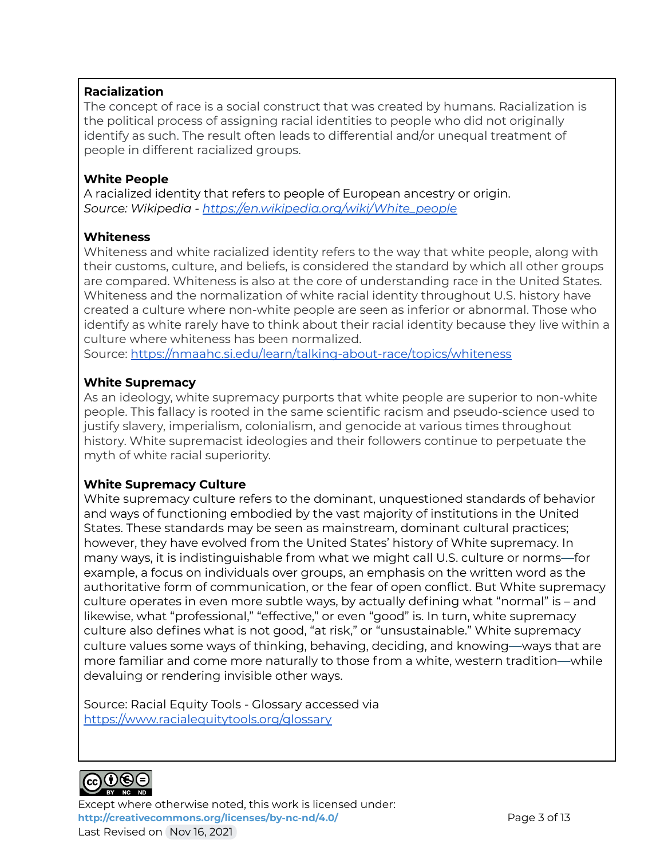#### **Racialization**

The concept of race is a social construct that was created by humans. Racialization is the political process of assigning racial identities to people who did not originally identify as such. The result often leads to differential and/or unequal treatment of people in different racialized groups.

#### **White People**

A racialized identity that refers to people of European ancestry or origin. *Source: Wikipedia - https:/ [en.wikipedia.org/wiki/White\\_people](https://en.wikipedia.org/wiki/White_people)*

#### **Whiteness**

Whiteness and white racialized identity refers to the way that white people, along with their customs, culture, and beliefs, is considered the standard by which all other groups are compared. Whiteness is also at the core of understanding race in the United States. Whiteness and the normalization of white racial identity throughout U.S. history have created a culture where non-white people are seen as inferior or abnormal. Those who identify as white rarely have to think about their racial identity because they live within a culture where whiteness has been normalized.

Source: <https://nmaahc.si.edu/learn/talking-about-race/topics/whiteness>

#### **White Supremacy**

As an ideology, white supremacy purports that white people are superior to non-white people. This fallacy is rooted in the same scientific racism and pseudo-science used to justify slavery, imperialism, colonialism, and genocide at various times throughout history. White supremacist ideologies and their followers continue to perpetuate the myth of white racial superiority.

#### **White Supremacy Culture**

White supremacy culture refers to the dominant, unquestioned standards of behavior and ways of functioning embodied by the vast majority of institutions in the United States. These standards may be seen as mainstream, dominant cultural practices; however, they have evolved from the United States' history of White supremacy. In many ways, it is indistinguishable from what we might call U.S. culture or norms—for example, a focus on individuals over groups, an emphasis on the written word as the authoritative form of communication, or the fear of open conflict. But White supremacy culture operates in even more subtle ways, by actually defining what "normal" is – and likewise, what "professional," "effective," or even "good" is. In turn, white supremacy culture also defines what is not good, "at risk," or "unsustainable." White supremacy culture values some ways of thinking, behaving, deciding, and knowing—ways that are more familiar and come more naturally to those from a white, western tradition—while devaluing or rendering invisible other ways.

Source: Racial Equity Tools - Glossary accessed via <https://www.racialequitytools.org/glossary>



Except where otherwise noted, this work is licensed under: <http://creativecommons.org/licenses/by-nc-nd/4.0/><br>
Page 3 of 13 Last Revised on Nov 16, 2021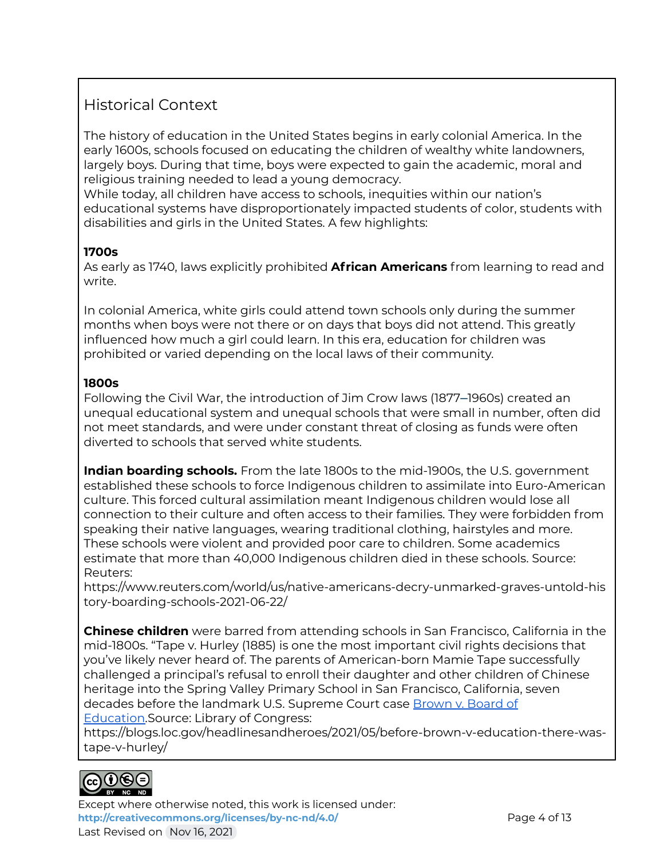## Historical Context

The history of education in the United States begins in early colonial America. In the early 1600s, schools focused on educating the children of wealthy white landowners, largely boys. During that time, boys were expected to gain the academic, moral and religious training needed to lead a young democracy.

While today, all children have access to schools, inequities within our nation's educational systems have disproportionately impacted students of color, students with disabilities and girls in the United States. A few highlights:

### **1700s**

As early as 1740, laws explicitly prohibited **African Americans** from learning to read and write.

In colonial America, white girls could attend town schools only during the summer months when boys were not there or on days that boys did not attend. This greatly influenced how much a girl could learn. In this era, education for children was prohibited or varied depending on the local laws of their community.

### **1800s**

Following the Civil War, the introduction of Jim Crow laws (1877–1960s) created an unequal educational system and unequal schools that were small in number, often did not meet standards, and were under constant threat of closing as funds were often diverted to schools that served white students.

**Indian boarding schools.** From the late 1800s to the mid-1900s, the U.S. government established these schools to force Indigenous children to assimilate into Euro-American culture. This forced cultural assimilation meant Indigenous children would lose all connection to their culture and often access to their families. They were forbidden from speaking their native languages, wearing traditional clothing, hairstyles and more. These schools were violent and provided poor care to children. Some academics estimate that more than 40,000 Indigenous children died in these schools. Source: Reuters:

https://www.reuters.com/world/us/native-americans-decry-unmarked-graves-untold-his tory-boarding-schools-2021-06-22/

**Chinese children** were barred from attending schools in San Francisco, California in the mid-1800s. "Tape v. Hurley (1885) is one the most important civil rights decisions that you've likely never heard of. The parents of American-born Mamie Tape successfully challenged a principal's refusal to enroll their daughter and other children of Chinese heritage into the Spring Valley Primary School in San Francisco, California, seven decades before the landmark U.S. Supreme Court case [Brown](https://chroniclingamerica.loc.gov/lccn/sn88063132/1954-05-17/ed-1/seq-1/#date1=05%2F17%2F1954&index=13&rows=20&searchType=advanced&language=&sequence=0&words=School+school+schools+SEGREGATION+segregation&proxdistance=5&date2=05%2F19%2F1954&ortext=&proxtext=&phrasetext=&andtext=school+segregation+&dateFilterType=range&page=1&loclr=blogser) v. Board of [Education.](https://chroniclingamerica.loc.gov/lccn/sn88063132/1954-05-17/ed-1/seq-1/#date1=05%2F17%2F1954&index=13&rows=20&searchType=advanced&language=&sequence=0&words=School+school+schools+SEGREGATION+segregation&proxdistance=5&date2=05%2F19%2F1954&ortext=&proxtext=&phrasetext=&andtext=school+segregation+&dateFilterType=range&page=1&loclr=blogser)Source: Library of Congress:

https://blogs.loc.gov/headlinesandheroes/2021/05/before-brown-v-education-there-wastape-v-hurley/



Except where otherwise noted, this work is licensed under: **<http://creativecommons.org/licenses/by-nc-nd/4.0/>** Page 4 of 13 Last Revised on Nov 16, 2021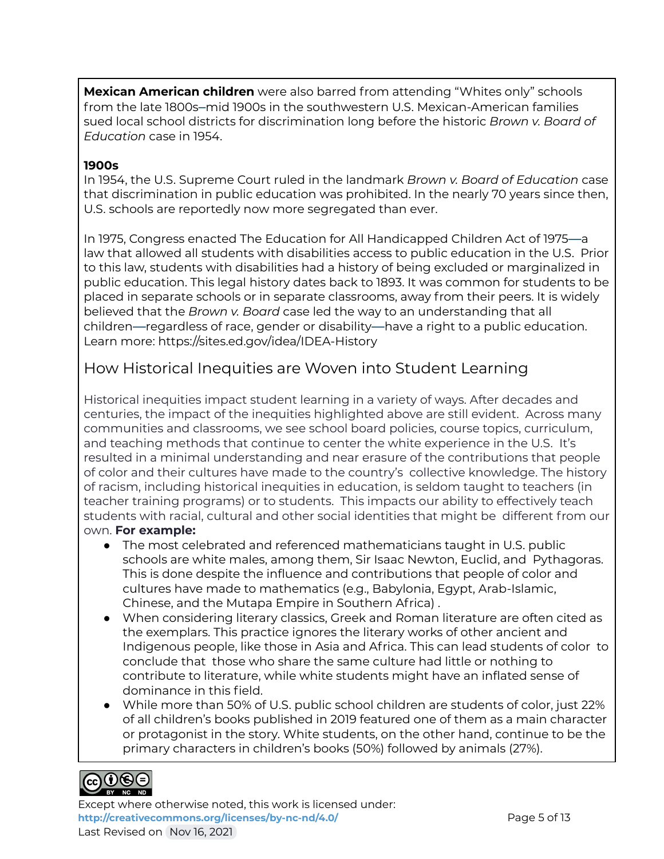**Mexican American children** were also barred from attending "Whites only" schools from the late 1800s–mid 1900s in the southwestern U.S. Mexican-American families sued local school districts for discrimination long before the historic *Brown v. Board of Education* case in 1954.

#### **1900s**

In 1954, the U.S. Supreme Court ruled in the landmark *Brown v. Board of Education* case that discrimination in public education was prohibited. In the nearly 70 years since then, U.S. schools are reportedly now more segregated than ever.

In 1975, Congress enacted The Education for All Handicapped Children Act of 1975—a law that allowed all students with disabilities access to public education in the U.S. Prior to this law, students with disabilities had a history of being excluded or marginalized in public education. This legal history dates back to 1893. It was common for students to be placed in separate schools or in separate classrooms, away from their peers. It is widely believed that the *Brown v. Board* case led the way to an understanding that all children—regardless of race, gender or disability—have a right to a public education. Learn more: https://sites.ed.gov/idea/IDEA-History

## How Historical Inequities are Woven into Student Learning

Historical inequities impact student learning in a variety of ways. After decades and centuries, the impact of the inequities highlighted above are still evident. Across many communities and classrooms, we see school board policies, course topics, curriculum, and teaching methods that continue to center the white experience in the U.S. It's resulted in a minimal understanding and near erasure of the contributions that people of color and their cultures have made to the country's collective knowledge. The history of racism, including historical inequities in education, is seldom taught to teachers (in teacher training programs) or to students. This impacts our ability to effectively teach students with racial, cultural and other social identities that might be different from our own. **For example:**

- The most celebrated and referenced mathematicians taught in U.S. public schools are white males, among them, Sir Isaac Newton, Euclid, and Pythagoras. This is done despite the influence and contributions that people of color and cultures have made to mathematics (e.g., Babylonia, Egypt, Arab-Islamic, Chinese, and the Mutapa Empire in Southern Africa) .
- When considering literary classics, Greek and Roman literature are often cited as the exemplars. This practice ignores the literary works of other ancient and Indigenous people, like those in Asia and Africa. This can lead students of color to conclude that those who share the same culture had little or nothing to contribute to literature, while white students might have an inflated sense of dominance in this field.
- While more than 50% of U.S. public school children are students of color, just 22% of all children's books published in 2019 featured one of them as a main character or protagonist in the story. White students, on the other hand, continue to be the primary characters in children's books (50%) followed by animals (27%).

#### $NC$  ND

Except where otherwise noted, this work is licensed under: <http://creativecommons.org/licenses/by-nc-nd/4.0/> **Page 5 of 13** Last Revised on Nov 16, 2021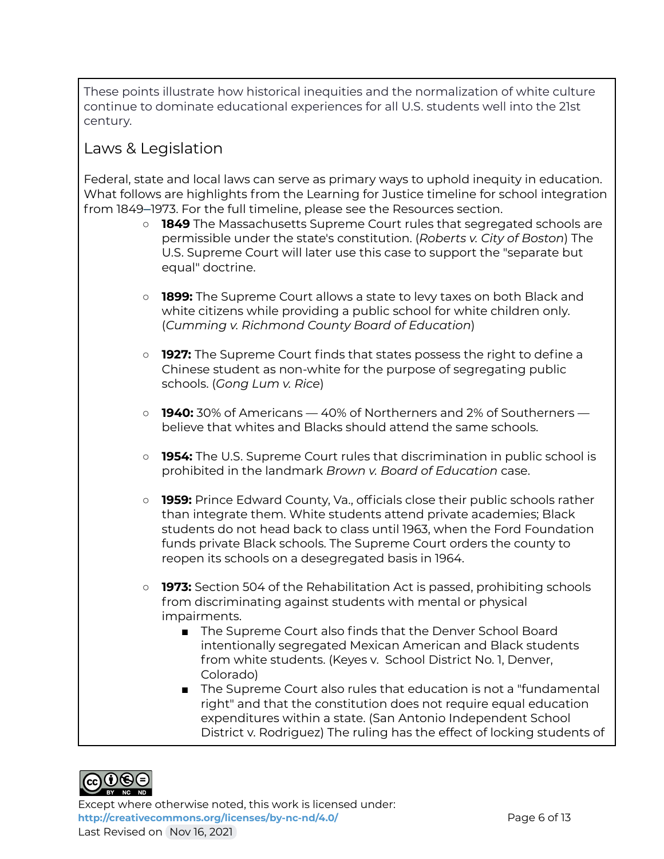These points illustrate how historical inequities and the normalization of white culture continue to dominate educational experiences for all U.S. students well into the 21st century.

## Laws & Legislation

Federal, state and local laws can serve as primary ways to uphold inequity in education. What follows are highlights from the Learning for Justice timeline for school integration from 1849–1973. For the full timeline, please see the Resources section.

- **1849** The Massachusetts Supreme Court rules that segregated schools are permissible under the state's constitution. (*Roberts v. City of Boston*) The U.S. Supreme Court will later use this case to support the "separate but equal" doctrine.
- **1899:** The Supreme Court allows a state to levy taxes on both Black and white citizens while providing a public school for white children only. (*Cumming v. Richmond County Board of Education*)
- **1927:** The Supreme Court finds that states possess the right to define a Chinese student as non-white for the purpose of segregating public schools. (*Gong Lum v. Rice*)
- **1940:** 30% of Americans 40% of Northerners and 2% of Southerners believe that whites and Blacks should attend the same schools.
- **1954:** The U.S. Supreme Court rules that discrimination in public school is prohibited in the landmark *Brown v. Board of Education* case.
- **1959:** Prince Edward County, Va., officials close their public schools rather than integrate them. White students attend private academies; Black students do not head back to class until 1963, when the Ford Foundation funds private Black schools. The Supreme Court orders the county to reopen its schools on a desegregated basis in 1964.
- **1973:** Section 504 of the Rehabilitation Act is passed, prohibiting schools from discriminating against students with mental or physical impairments.
	- The Supreme Court also finds that the Denver School Board intentionally segregated Mexican American and Black students from white students. (Keyes v. School District No. 1, Denver, Colorado)
	- The Supreme Court also rules that education is not a "fundamental right" and that the constitution does not require equal education expenditures within a state. (San Antonio Independent School District v. Rodriguez) The ruling has the effect of locking students of



Except where otherwise noted, this work is licensed under: **<http://creativecommons.org/licenses/by-nc-nd/4.0/>** Page 6 of 13 Last Revised on Nov 16, 2021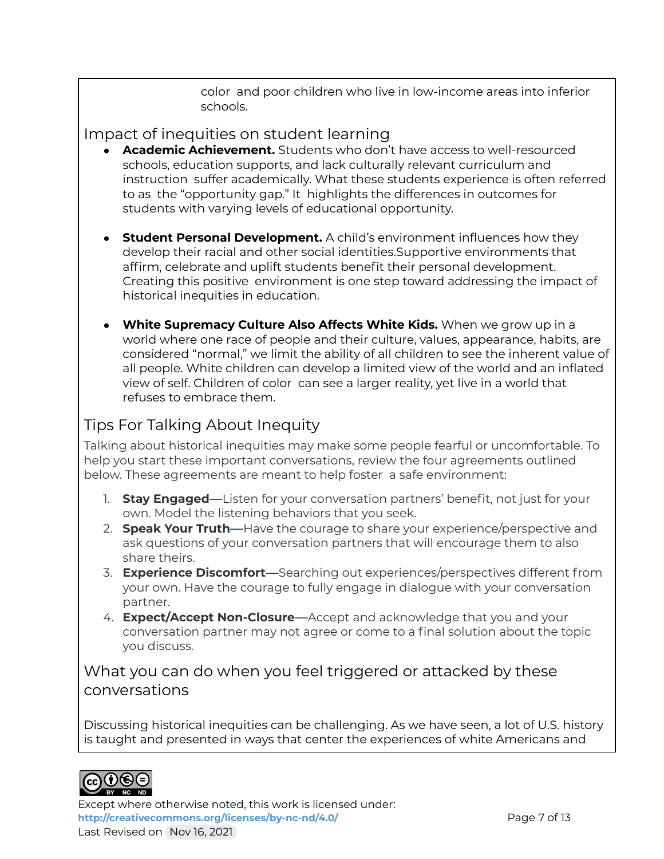color and poor children who live in low-income areas into inferior schools.

## Impact of inequities on student learning

- **Academic Achievement.** Students who don't have access to well-resourced schools, education supports, and lack culturally relevant curriculum and instruction suffer academically. What these students experience is often referred to as the "opportunity gap." It highlights the differences in outcomes for students with varying levels of educational opportunity.
- **● Student Personal Development.** A child's environment influences how they develop their racial and other social identities.Supportive environments that affirm, celebrate and uplift students benefit their personal development. Creating this positive environment is one step toward addressing the impact of historical inequities in education.
- **● White Supremacy Culture Also Affects White Kids.** When we grow up in a world where one race of people and their culture, values, appearance, habits, are considered "normal," we limit the ability of all children to see the inherent value of all people. White children can develop a limited view of the world and an inflated view of self. Children of color can see a larger reality, yet live in a world that refuses to embrace them.

## Tips For Talking About Inequity

Talking about historical inequities may make some people fearful or uncomfortable. To help you start these important conversations, review the four agreements outlined below. These agreements are meant to help foster a safe environment:

- 1. **Stay Engaged**—Listen for your conversation partners' benefit, not just for your own. Model the listening behaviors that you seek.
- 2. **Speak Your Truth**—Have the courage to share your experience/perspective and ask questions of your conversation partners that will encourage them to also share theirs.
- 3. **Experience Discomfort**—Searching out experiences/perspectives different from your own. Have the courage to fully engage in dialogue with your conversation partner.
- 4. **Expect/Accept Non-Closure**—Accept and acknowledge that you and your conversation partner may not agree or come to a final solution about the topic you discuss.

## What you can do when you feel triggered or attacked by these conversations

Discussing historical inequities can be challenging. As we have seen, a lot of U.S. history is taught and presented in ways that center the experiences of white Americans and



Except where otherwise noted, this work is licensed under: <http://creativecommons.org/licenses/by-nc-nd/4.0/> **Page 7 of 13** Last Revised on Nov 16, 2021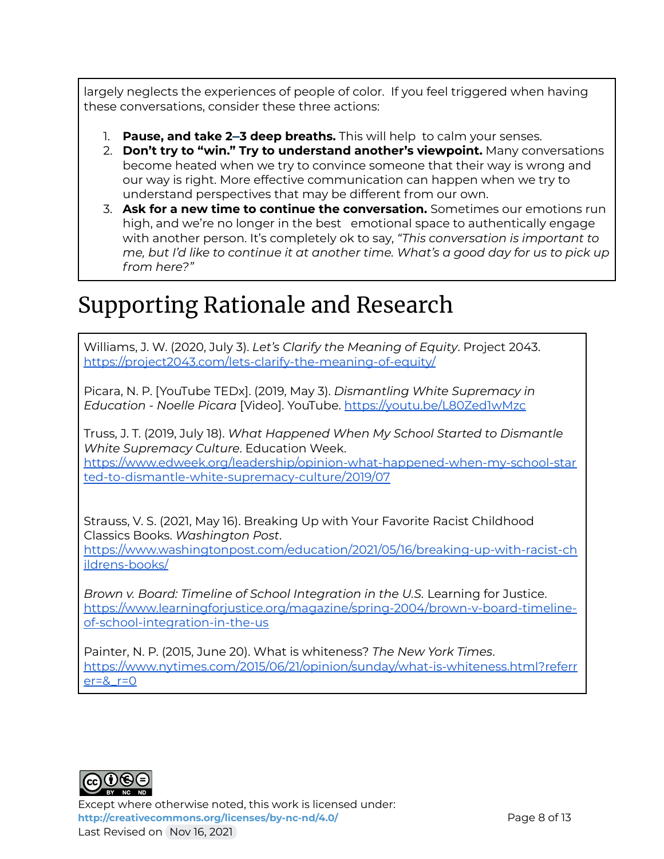largely neglects the experiences of people of color. If you feel triggered when having these conversations, consider these three actions:

- 1. **Pause, and take 2–3 deep breaths.** This will help to calm your senses.
- 2. **Don't try to "win." Try to understand another's viewpoint.** Many conversations become heated when we try to convince someone that their way is wrong and our way is right. More effective communication can happen when we try to understand perspectives that may be different from our own.
- 3. **Ask for a new time to continue the conversation.** Sometimes our emotions run high, and we're no longer in the best emotional space to authentically engage with another person. It's completely ok to say, *"This conversation is important to me, but I'd like to continue it at another time. What's a good day for us to pick up from here?"*

## Supporting Rationale and Research

Williams, J. W. (2020, July 3). *Let's Clarify the Meaning of Equity*. Project 2043. <https://project2043.com/lets-clarify-the-meaning-of-equity/>

Picara, N. P. [YouTube TEDx]. (2019, May 3). *Dismantling White Supremacy in Education - Noelle Picara* [Video]. YouTube. <https://youtu.be/L80Zed1wMzc>

Truss, J. T. (2019, July 18). *What Happened When My School Started to Dismantle White Supremacy Culture*. Education Week.

[https://www.edweek.org/leadership/opinion-what-happened-when-my-school-star](https://www.edweek.org/leadership/opinion-what-happened-when-my-school-started-to-dismantle-white-supremacy-culture/2019/07) [ted-to-dismantle-white-supremacy-culture/2019/07](https://www.edweek.org/leadership/opinion-what-happened-when-my-school-started-to-dismantle-white-supremacy-culture/2019/07)

Strauss, V. S. (2021, May 16). Breaking Up with Your Favorite Racist Childhood Classics Books. *Washington Post*.

[https://www.washingtonpost.com/education/2021/05/16/breaking-up-with-racist-ch](https://www.washingtonpost.com/education/2021/05/16/breaking-up-with-racist-childrens-books/) [ildrens-books/](https://www.washingtonpost.com/education/2021/05/16/breaking-up-with-racist-childrens-books/)

*Brown v. Board: Timeline of School Integration in the U.S.* Learning for Justice. [https://www.learningforjustice.org/magazine/spring-2004/brown-v-board-timeline](https://www.learningforjustice.org/magazine/spring-2004/brown-v-board-timeline-of-school-integration-in-the-us)[of-school-integration-in-the-us](https://www.learningforjustice.org/magazine/spring-2004/brown-v-board-timeline-of-school-integration-in-the-us)

Painter, N. P. (2015, June 20). What is whiteness? *The New York Times*. [https://www.nytimes.com/2015/06/21/opinion/sunday/what-is-whiteness.html?referr](https://www.nytimes.com/2015/06/21/opinion/sunday/what-is-whiteness.html?referrer=&_r=0)  $er=8$   $r=0$ 



Except where otherwise noted, this work is licensed under: <http://creativecommons.org/licenses/by-nc-nd/4.0/> **Page 8 of 13** Last Revised on Nov 16, 2021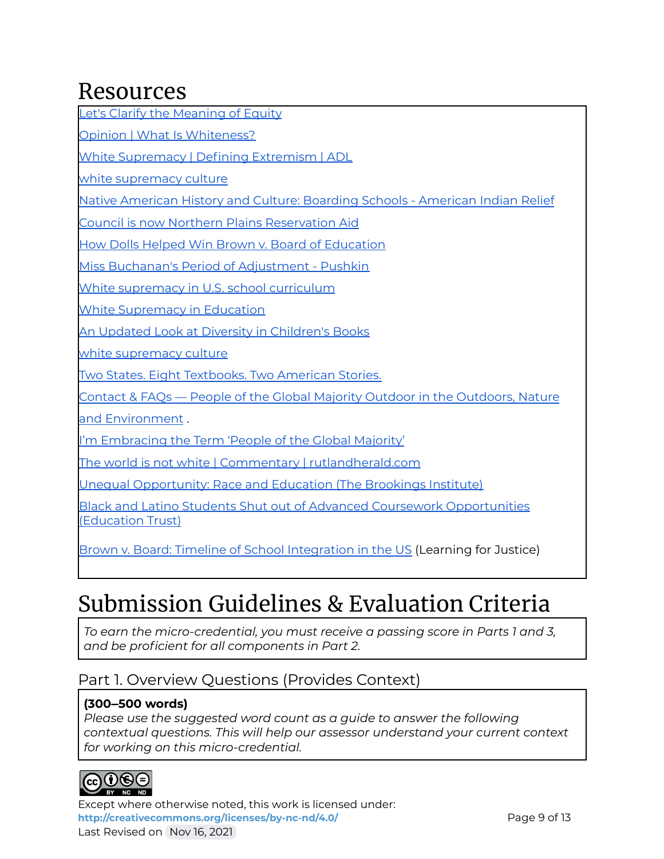## Resources

Let's Clarify the [Meaning](https://project2043.com/lets-clarify-the-meaning-of-equity/) of Equity

Opinion | What Is [Whiteness?](https://www.nytimes.com/2015/06/21/opinion/sunday/what-is-whiteness.html?referrer=&_r=0)

White [Supremacy](https://www.adl.org/resources/glossary-terms/white-supremacy) | Defining Extremism | ADL

white [supremacy](https://www.dismantlingracism.org/uploads/4/3/5/7/43579015/okun_-_white_sup_culture.pdf) culture

Native American History and Culture: Boarding Schools - [American](http://www.nativepartnership.org/site/PageServer?pagename=airc_hist_boardingschools#:~:text=The%20boarding%20school%20experience%20for,in%20the%20state%20of%20Washington.&text=Schools%20would%20quickly%20be%20able%20to%20assimilate%20Indian%20youth) Indian Relief

Council is now Northern Plains [Reservation](http://www.nativepartnership.org/site/PageServer?pagename=airc_hist_boardingschools#:~:text=The%20boarding%20school%20experience%20for,in%20the%20state%20of%20Washington.&text=Schools%20would%20quickly%20be%20able%20to%20assimilate%20Indian%20youth) Aid

How Dolls Helped Win Brown v. Board of [Education](https://www.history.com/news/brown-v-board-of-education-doll-experiment)

Miss Buchanan's Period of [Adjustment](https://www.pushkin.fm/episode/miss-buchanans-period-of-adjustment/) - Pushkin

White [supremacy](https://en.wikipedia.org/wiki/White_supremacy_in_U.S._school_curriculum) in U.S. school curriculum

White [Supremacy](https://www.learningforjustice.org/sites/default/files/2021-02/Teaching-Tolerance-Magazine-66-Spring-2021.pdf) in Education

An Updated Look at Diversity in [Children's](https://www.slj.com/?detailStory=an-updated-look-at-diversity-in-childrens-books) Books

white [supremacy](https://www.dismantlingracism.org/uploads/4/3/5/7/43579015/okun_-_white_sup_culture.pdf) culture

Two States. Eight [Textbooks.](https://www.nytimes.com/interactive/2020/01/12/us/texas-vs-california-history-textbooks.html) Two American Stories.

Contact & FAQs — People of the Global Majority Outdoor in the [Outdoors,](https://www.pgmone.org/contact#:~:text=support%20my%20registration%3F-,What%20does%20%22people%20of%20the%20global%20majority%22%20mean%3F,80%25%20of%20the%20world) Nature

and [Environment](https://www.pgmone.org/contact#:~:text=support%20my%20registration%3F-,What%20does%20%22people%20of%20the%20global%20majority%22%20mean%3F,80%25%20of%20the%20world) .

I'm [Embracing](https://regenerative.medium.com/im-embracing-the-term-people-of-the-global-majority-abd1c1251241) the Term 'People of the Global Majority'

The world is not white | Commentary | [rutlandherald.com](https://www.rutlandherald.com/opinion/commentary/the-world-is-not-white/article_61fd63e1-d401-5af7-9642-e9b52557c7ed.html)

Unequal [Opportunity:](https://www.brookings.edu/articles/unequal-opportunity-race-and-education/) Race and Education (The Brookings Institute)

Black and Latino Students Shut out of Advanced Coursework [Opportunities](https://edtrust.org/press-release/black-and-latino-students-shut-out-of-advanced-coursework-opportunities/) [\(Education](https://edtrust.org/press-release/black-and-latino-students-shut-out-of-advanced-coursework-opportunities/) Trust)

Brown v. Board: Timeline of School [Integration](https://www.learningforjustice.org/magazine/spring-2004/brown-v-board-timeline-of-school-integration-in-the-us) in the US (Learning for Justice)

## Submission Guidelines & Evaluation Criteria

*To earn the micro-credential, you must receive a passing score in Parts 1 and 3, and be proficient for all components in Part 2.*

## Part 1. Overview Questions (Provides Context)

## **(300–500 words)**

*Please use the suggested word count as a guide to answer the following contextual questions. This will help our assessor understand your current context for working on this micro-credential.*



Except where otherwise noted, this work is licensed under: <http://creativecommons.org/licenses/by-nc-nd/4.0/><br>
Page 9 of 13 Last Revised on Nov 16, 2021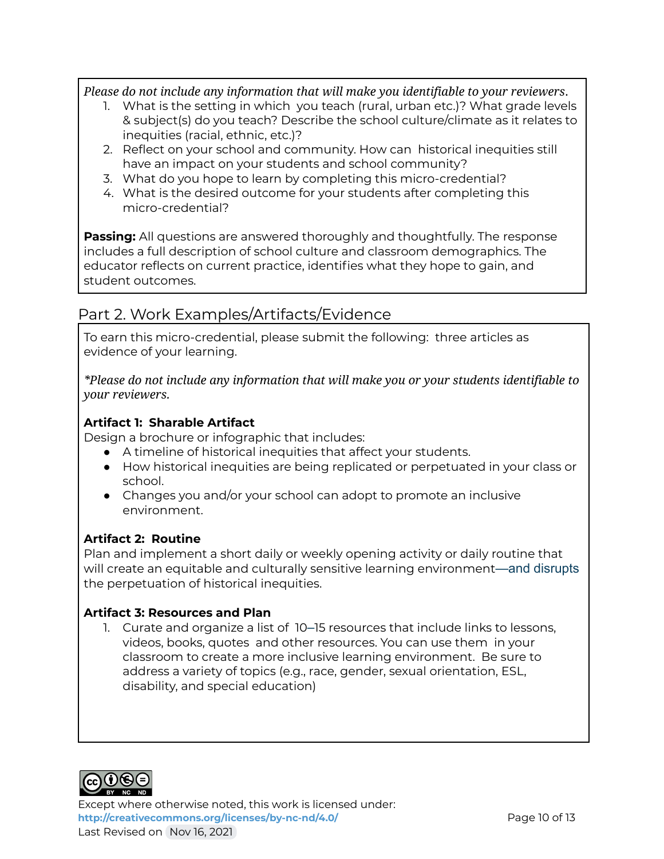*Please do not include any information that will make you identifiable to your reviewers*.

- 1. What is the setting in which you teach (rural, urban etc.)? What grade levels & subject(s) do you teach? Describe the school culture/climate as it relates to inequities (racial, ethnic, etc.)?
- 2. Reflect on your school and community. How can historical inequities still have an impact on your students and school community?
- 3. What do you hope to learn by completing this micro-credential?
- 4. What is the desired outcome for your students after completing this micro-credential?

**Passing:** All questions are answered thoroughly and thoughtfully. The response includes a full description of school culture and classroom demographics. The educator reflects on current practice, identifies what they hope to gain, and student outcomes.

## Part 2. Work Examples/Artifacts/Evidence

To earn this micro-credential, please submit the following: three articles as evidence of your learning.

*\*Please do not include any information that will make you or your students identifiable to your reviewers.*

## **Artifact 1: Sharable Artifact**

Design a brochure or infographic that includes:

- A timeline of historical inequities that affect your students.
- How historical inequities are being replicated or perpetuated in your class or school.
- Changes you and/or your school can adopt to promote an inclusive environment.

### **Artifact 2: Routine**

Plan and implement a short daily or weekly opening activity or daily routine that will create an equitable and culturally sensitive learning environment—and disrupts the perpetuation of historical inequities.

### **Artifact 3: Resources and Plan**

1. Curate and organize a list of 10–15 resources that include links to lessons, videos, books, quotes and other resources. You can use them in your classroom to create a more inclusive learning environment. Be sure to address a variety of topics (e.g., race, gender, sexual orientation, ESL, disability, and special education)



Except where otherwise noted, this work is licensed under: <http://creativecommons.org/licenses/by-nc-nd/4.0/><br>
Page 10 of 13 Last Revised on Nov 16, 2021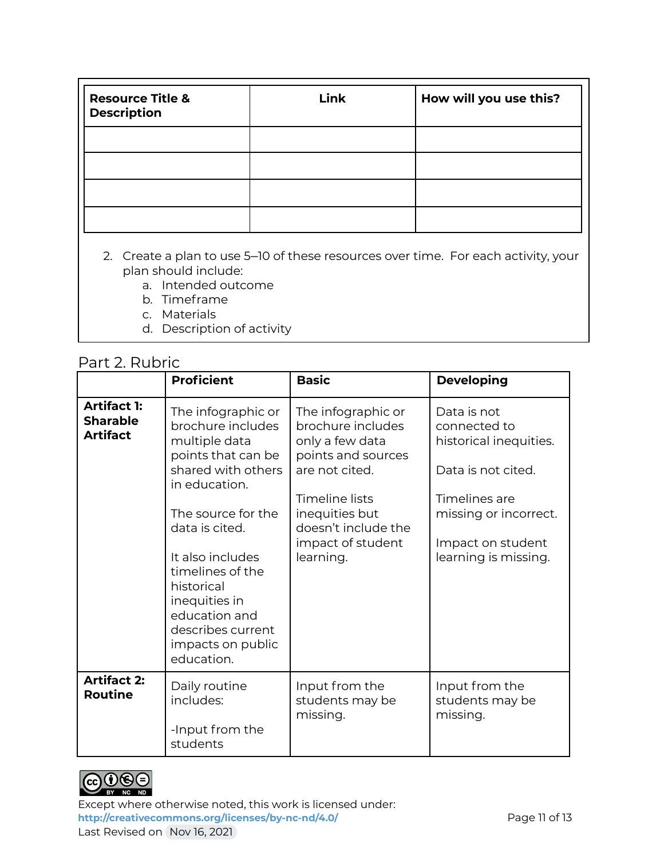| <b>Resource Title &amp;</b><br><b>Description</b> | <b>Link</b> | How will you use this? |
|---------------------------------------------------|-------------|------------------------|
|                                                   |             |                        |
|                                                   |             |                        |
|                                                   |             |                        |
|                                                   |             |                        |

- 2. Create a plan to use 5–10 of these resources over time. For each activity, your plan should include:
	- a. Intended outcome
	- b. Timeframe
	- c. Materials
	- d. Description of activity

#### Part 2. Rubric

|                                                          | <b>Proficient</b>                                                                                                                                                                                                                                                                                             | <b>Basic</b>                                                                                                                                                                                    | <b>Developing</b>                                                                                                                                                  |
|----------------------------------------------------------|---------------------------------------------------------------------------------------------------------------------------------------------------------------------------------------------------------------------------------------------------------------------------------------------------------------|-------------------------------------------------------------------------------------------------------------------------------------------------------------------------------------------------|--------------------------------------------------------------------------------------------------------------------------------------------------------------------|
| <b>Artifact 1:</b><br><b>Sharable</b><br><b>Artifact</b> | The infographic or<br>brochure includes<br>multiple data<br>points that can be<br>shared with others<br>in education.<br>The source for the<br>data is cited.<br>It also includes<br>timelines of the<br>historical<br>inequities in<br>education and<br>describes current<br>impacts on public<br>education. | The infographic or<br>brochure includes<br>only a few data<br>points and sources<br>are not cited.<br>Timeline lists<br>inequities but<br>doesn't include the<br>impact of student<br>learning. | Data is not<br>connected to<br>historical inequities.<br>Data is not cited.<br>Timelines are<br>missing or incorrect.<br>Impact on student<br>learning is missing. |
| <b>Artifact 2:</b><br><b>Routine</b>                     | Daily routine<br>includes:<br>-Input from the<br>students                                                                                                                                                                                                                                                     | Input from the<br>students may be<br>missing.                                                                                                                                                   | Input from the<br>students may be<br>missing.                                                                                                                      |



Except where otherwise noted, this work is licensed under: <http://creativecommons.org/licenses/by-nc-nd/4.0/><br>
Page 11 of 13 Last Revised on Nov 16, 2021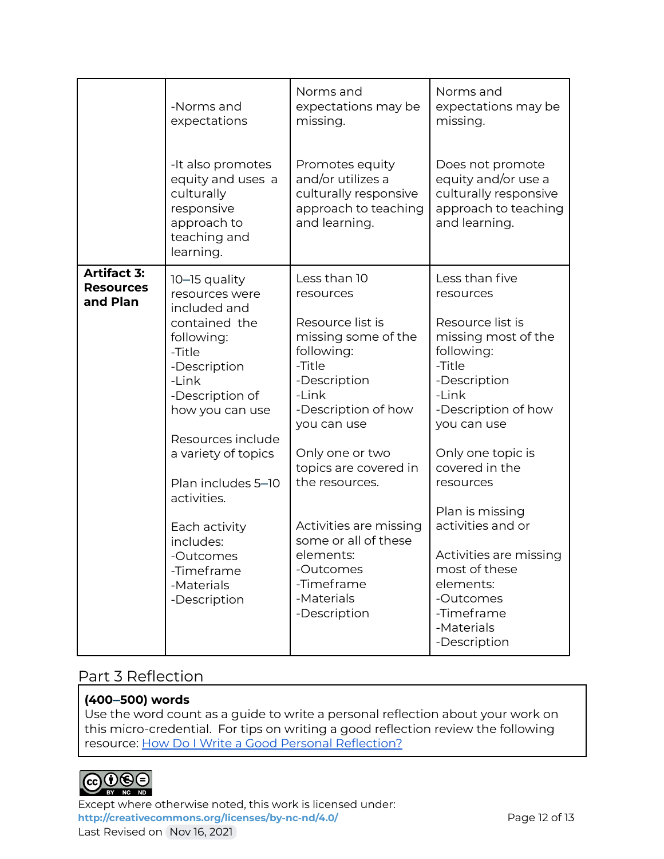|                                                    | -Norms and<br>expectations<br>-It also promotes<br>equity and uses a<br>culturally<br>responsive<br>approach to<br>teaching and<br>learning.                                                                                                                                                                                    | Norms and<br>expectations may be<br>missing.<br>Promotes equity<br>and/or utilizes a<br>culturally responsive<br>approach to teaching<br>and learning.                                                                                                                                                                                            | Norms and<br>expectations may be<br>missing.<br>Does not promote<br>equity and/or use a<br>culturally responsive<br>approach to teaching<br>and learning.                                                                                                                                                                                                                  |
|----------------------------------------------------|---------------------------------------------------------------------------------------------------------------------------------------------------------------------------------------------------------------------------------------------------------------------------------------------------------------------------------|---------------------------------------------------------------------------------------------------------------------------------------------------------------------------------------------------------------------------------------------------------------------------------------------------------------------------------------------------|----------------------------------------------------------------------------------------------------------------------------------------------------------------------------------------------------------------------------------------------------------------------------------------------------------------------------------------------------------------------------|
| <b>Artifact 3:</b><br><b>Resources</b><br>and Plan | 10–15 quality<br>resources were<br>included and<br>contained the<br>following:<br>-Title<br>-Description<br>-Link<br>-Description of<br>how you can use<br>Resources include<br>a variety of topics<br>Plan includes 5-10<br>activities.<br>Each activity<br>includes:<br>-Outcomes<br>-Timeframe<br>-Materials<br>-Description | Less than 10<br>resources<br>Resource list is<br>missing some of the<br>following:<br>-Title<br>-Description<br>-Link<br>-Description of how<br>you can use<br>Only one or two<br>topics are covered in<br>the resources.<br>Activities are missing<br>some or all of these<br>elements:<br>-Outcomes<br>-Timeframe<br>-Materials<br>-Description | Less than five<br>resources<br>Resource list is<br>missing most of the<br>following:<br>-Title<br>-Description<br>-Link<br>-Description of how<br>you can use<br>Only one topic is<br>covered in the<br>resources<br>Plan is missing<br>activities and or<br>Activities are missing<br>most of these<br>elements:<br>-Outcomes<br>-Timeframe<br>-Materials<br>-Description |

## Part 3 Reflection

## **(400–500) words**

Use the word count as a guide to write a personal reflection about your work on this micro-credential. For tips on writing a good reflection review the following resource: How Do I Write a Good Personal [Reflection?](https://isthismystory.com/learning/how-do-i-write-a-good-personal-reflection/)



Except where otherwise noted, this work is licensed under: <http://creativecommons.org/licenses/by-nc-nd/4.0/><br>
Page 12 of 13 Last Revised on Nov 16, 2021